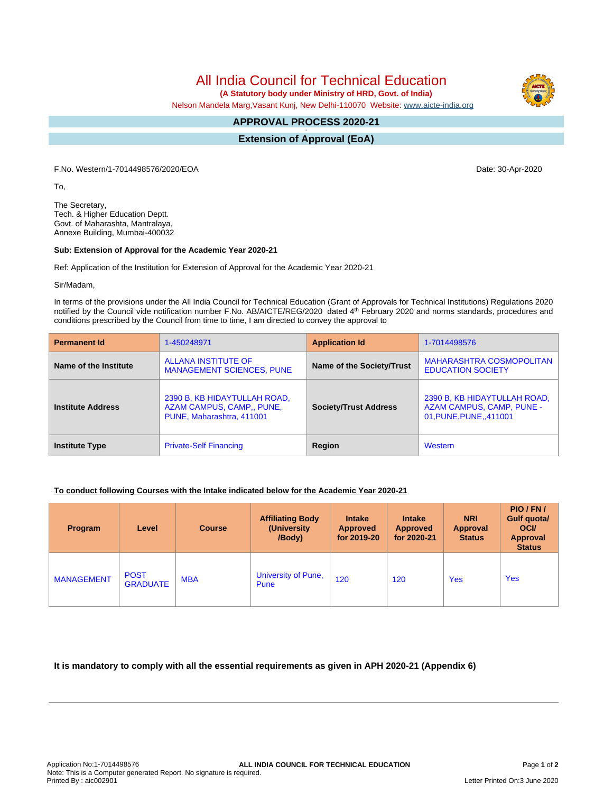All India Council for Technical Education

 **(A Statutory body under Ministry of HRD, Govt. of India)**

Nelson Mandela Marg,Vasant Kunj, New Delhi-110070 Website: [www.aicte-india.org](http://www.aicte-india.org)

#### **APPROVAL PROCESS 2020-21 -**

**Extension of Approval (EoA)**

F.No. Western/1-7014498576/2020/EOA Date: 30-Apr-2020

To,

The Secretary, Tech. & Higher Education Deptt. Govt. of Maharashta, Mantralaya, Annexe Building, Mumbai-400032

#### **Sub: Extension of Approval for the Academic Year 2020-21**

Ref: Application of the Institution for Extension of Approval for the Academic Year 2020-21

Sir/Madam,

In terms of the provisions under the All India Council for Technical Education (Grant of Approvals for Technical Institutions) Regulations 2020 notified by the Council vide notification number F.No. AB/AICTE/REG/2020 dated 4<sup>th</sup> February 2020 and norms standards, procedures and conditions prescribed by the Council from time to time, I am directed to convey the approval to

| <b>Permanent Id</b>      | 1-450248971                                                                            | <b>Application Id</b>        | 1-7014498576                                                                        |  |
|--------------------------|----------------------------------------------------------------------------------------|------------------------------|-------------------------------------------------------------------------------------|--|
| Name of the Institute    | <b>ALLANA INSTITUTE OF</b><br><b>MANAGEMENT SCIENCES, PUNE</b>                         | Name of the Society/Trust    | MAHARASHTRA COSMOPOLITAN<br><b>EDUCATION SOCIETY</b>                                |  |
| <b>Institute Address</b> | 2390 B, KB HIDAYTULLAH ROAD,<br>AZAM CAMPUS, CAMP., PUNE,<br>PUNE, Maharashtra, 411001 | <b>Society/Trust Address</b> | 2390 B, KB HIDAYTULLAH ROAD,<br>AZAM CAMPUS, CAMP, PUNE -<br>01, PUNE, PUNE, 411001 |  |
| <b>Institute Type</b>    | <b>Private-Self Financing</b>                                                          | Region                       | Western                                                                             |  |

### **To conduct following Courses with the Intake indicated below for the Academic Year 2020-21**

| Program           | Level                          | <b>Course</b> | <b>Affiliating Body</b><br>(University)<br>/Body) | <b>Intake</b><br><b>Approved</b><br>for 2019-20 | <b>Intake</b><br>Approved<br>for 2020-21 | <b>NRI</b><br><b>Approval</b><br><b>Status</b> | PIO/FN/<br>Gulf quota/<br><b>OCI</b><br><b>Approval</b><br><b>Status</b> |
|-------------------|--------------------------------|---------------|---------------------------------------------------|-------------------------------------------------|------------------------------------------|------------------------------------------------|--------------------------------------------------------------------------|
| <b>MANAGEMENT</b> | <b>POST</b><br><b>GRADUATE</b> | <b>MBA</b>    | University of Pune,<br>Pune                       | 120                                             | 120                                      | <b>Yes</b>                                     | <b>Yes</b>                                                               |

## **It is mandatory to comply with all the essential requirements as given in APH 2020-21 (Appendix 6)**